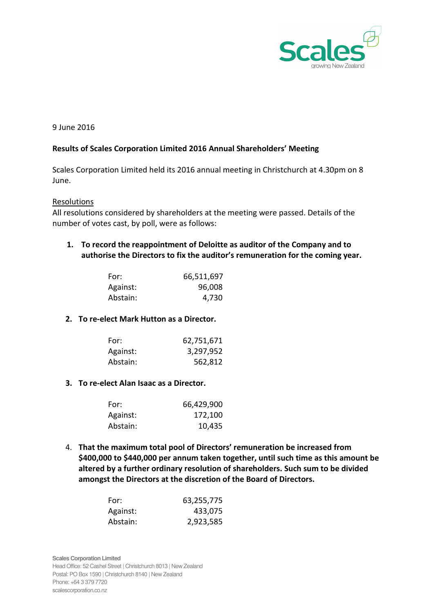

## 9 June 2016

## Results of Scales Corporation Limited 2016 Annual Shareholders' Meeting

Scales Corporation Limited held its 2016 annual meeting in Christchurch at 4.30pm on 8 June.

### Resolutions

All resolutions considered by shareholders at the meeting were passed. Details of the number of votes cast, by poll, were as follows:

# 1. To record the reappointment of Deloitte as auditor of the Company and to authorise the Directors to fix the auditor's remuneration for the coming year.

| For:     | 66,511,697 |
|----------|------------|
| Against: | 96,008     |
| Abstain: | 4,730      |

## 2. To re-elect Mark Hutton as a Director.

| For:     | 62,751,671 |
|----------|------------|
| Against: | 3,297,952  |
| Abstain: | 562,812    |

#### 3. To re-elect Alan Isaac as a Director.

| For:     | 66,429,900 |
|----------|------------|
| Against: | 172,100    |
| Abstain: | 10,435     |

4. That the maximum total pool of Directors' remuneration be increased from \$400,000 to \$440,000 per annum taken together, until such time as this amount be altered by a further ordinary resolution of shareholders. Such sum to be divided amongst the Directors at the discretion of the Board of Directors.

| For:     | 63,255,775 |
|----------|------------|
| Against: | 433,075    |
| Abstain: | 2,923,585  |